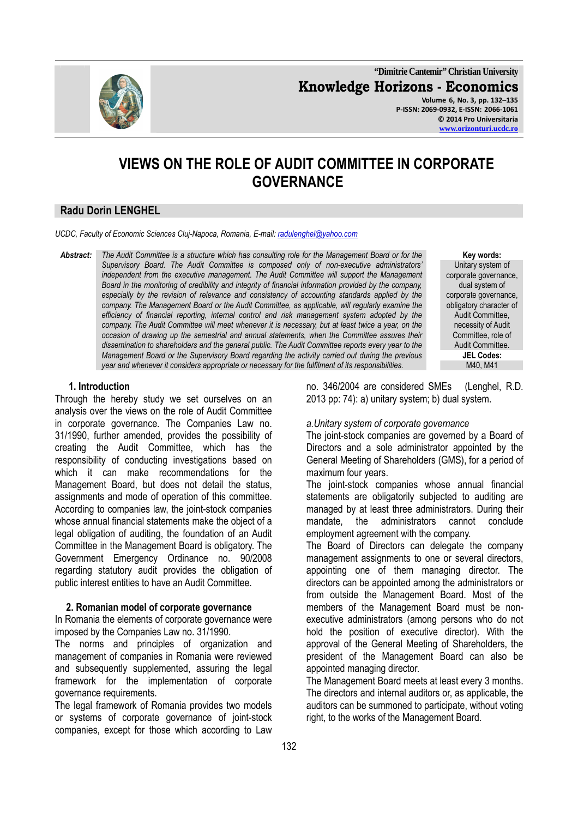

**"Dimitrie Cantemir" Christian University Knowledge Horizons - Economics Volume 6, No. 3, pp. 132–135 P-ISSN: 2069-0932, E-ISSN: 2066-1061 © 2014 Pro Universitaria** 

**www.orizonturi.ucdc.ro**

# **VIEWS ON THE ROLE OF AUDIT COMMITTEE IN CORPORATE GOVERNANCE**

# **Radu Dorin LENGHEL**

*UCDC, Faculty of Economic Sciences Cluj-Napoca, Romania, E-mail: radulenghel@yahoo.com*

*Abstract: The Audit Committee is a structure which has consulting role for the Management Board or for the Supervisory Board. The Audit Committee is composed only of non-executive administrators' independent from the executive management. The Audit Committee will support the Management Board in the monitoring of credibility and integrity of financial information provided by the company,*  especially by the revision of relevance and consistency of accounting standards applied by the *company. The Management Board or the Audit Committee, as applicable, will regularly examine the efficiency of financial reporting, internal control and risk management system adopted by the company. The Audit Committee will meet whenever it is necessary, but at least twice a year, on the occasion of drawing up the semestrial and annual statements, when the Committee assures their dissemination to shareholders and the general public. The Audit Committee reports every year to the Management Board or the Supervisory Board regarding the activity carried out during the previous year and whenever it considers appropriate or necessary for the fulfilment of its responsibilities.* 

**Key words:**  Unitary system of corporate governance, dual system of corporate governance, obligatory character of Audit Committee, necessity of Audit Committee, role of Audit Committee. **JEL Codes:** 

#### **1. Introduction**

Through the hereby study we set ourselves on an analysis over the views on the role of Audit Committee in corporate governance. The Companies Law no. 31/1990, further amended, provides the possibility of creating the Audit Committee, which has the responsibility of conducting investigations based on which it can make recommendations for the Management Board, but does not detail the status, assignments and mode of operation of this committee. According to companies law, the joint-stock companies whose annual financial statements make the object of a legal obligation of auditing, the foundation of an Audit Committee in the Management Board is obligatory. The Government Emergency Ordinance no. 90/2008 regarding statutory audit provides the obligation of public interest entities to have an Audit Committee.

#### **2. Romanian model of corporate governance**

In Romania the elements of corporate governance were imposed by the Companies Law no. 31/1990.

The norms and principles of organization and management of companies in Romania were reviewed and subsequently supplemented, assuring the legal framework for the implementation of corporate governance requirements.

The legal framework of Romania provides two models or systems of corporate governance of joint-stock companies, except for those which according to Law no. 346/2004 are considered SMEs (Lenghel, R.D. 2013 pp: 74): a) unitary system; b) dual system.

#### *a.Unitary system of corporate governance*

The joint-stock companies are governed by a Board of Directors and a sole administrator appointed by the General Meeting of Shareholders (GMS), for a period of maximum four years.

The joint-stock companies whose annual financial statements are obligatorily subjected to auditing are managed by at least three administrators. During their mandate, the administrators cannot conclude employment agreement with the company.

The Board of Directors can delegate the company management assignments to one or several directors, appointing one of them managing director. The directors can be appointed among the administrators or from outside the Management Board. Most of the members of the Management Board must be nonexecutive administrators (among persons who do not hold the position of executive director). With the approval of the General Meeting of Shareholders, the president of the Management Board can also be appointed managing director.

The Management Board meets at least every 3 months. The directors and internal auditors or, as applicable, the auditors can be summoned to participate, without voting right, to the works of the Management Board.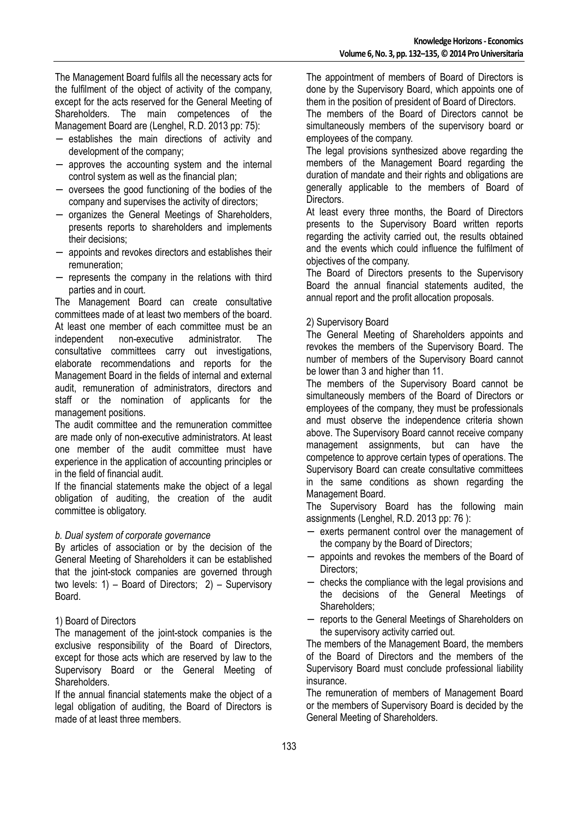The Management Board fulfils all the necessary acts for the fulfilment of the object of activity of the company, except for the acts reserved for the General Meeting of Shareholders. The main competences of the Management Board are (Lenghel, R.D. 2013 pp: 75):

- establishes the main directions of activity and development of the company;
- − approves the accounting system and the internal control system as well as the financial plan;
- − oversees the good functioning of the bodies of the company and supervises the activity of directors;
- − organizes the General Meetings of Shareholders, presents reports to shareholders and implements their decisions;
- − appoints and revokes directors and establishes their remuneration;
- − represents the company in the relations with third parties and in court.

The Management Board can create consultative committees made of at least two members of the board. At least one member of each committee must be an independent non-executive administrator. The consultative committees carry out investigations, elaborate recommendations and reports for the Management Board in the fields of internal and external audit, remuneration of administrators, directors and staff or the nomination of applicants for the management positions.

The audit committee and the remuneration committee are made only of non-executive administrators. At least one member of the audit committee must have experience in the application of accounting principles or in the field of financial audit.

If the financial statements make the object of a legal obligation of auditing, the creation of the audit committee is obligatory.

# *b. Dual system of corporate governance*

By articles of association or by the decision of the General Meeting of Shareholders it can be established that the joint-stock companies are governed through two levels: 1) – Board of Directors; 2) – Supervisory Board.

# 1) Board of Directors

The management of the joint-stock companies is the exclusive responsibility of the Board of Directors. except for those acts which are reserved by law to the Supervisory Board or the General Meeting of Shareholders.

If the annual financial statements make the object of a legal obligation of auditing, the Board of Directors is made of at least three members.

The appointment of members of Board of Directors is done by the Supervisory Board, which appoints one of them in the position of president of Board of Directors.

The members of the Board of Directors cannot be simultaneously members of the supervisory board or employees of the company.

The legal provisions synthesized above regarding the members of the Management Board regarding the duration of mandate and their rights and obligations are generally applicable to the members of Board of **Directors** 

At least every three months, the Board of Directors presents to the Supervisory Board written reports regarding the activity carried out, the results obtained and the events which could influence the fulfilment of objectives of the company.

The Board of Directors presents to the Supervisory Board the annual financial statements audited, the annual report and the profit allocation proposals.

# 2) Supervisory Board

The General Meeting of Shareholders appoints and revokes the members of the Supervisory Board. The number of members of the Supervisory Board cannot be lower than 3 and higher than 11.

The members of the Supervisory Board cannot be simultaneously members of the Board of Directors or employees of the company, they must be professionals and must observe the independence criteria shown above. The Supervisory Board cannot receive company management assignments, but can have the competence to approve certain types of operations. The Supervisory Board can create consultative committees in the same conditions as shown regarding the Management Board.

The Supervisory Board has the following main assignments (Lenghel, R.D. 2013 pp: 76 ):

- − exerts permanent control over the management of the company by the Board of Directors;
- appoints and revokes the members of the Board of Directors;
- − checks the compliance with the legal provisions and the decisions of the General Meetings of Shareholders;
- − reports to the General Meetings of Shareholders on the supervisory activity carried out.

The members of the Management Board, the members of the Board of Directors and the members of the Supervisory Board must conclude professional liability insurance.

The remuneration of members of Management Board or the members of Supervisory Board is decided by the General Meeting of Shareholders.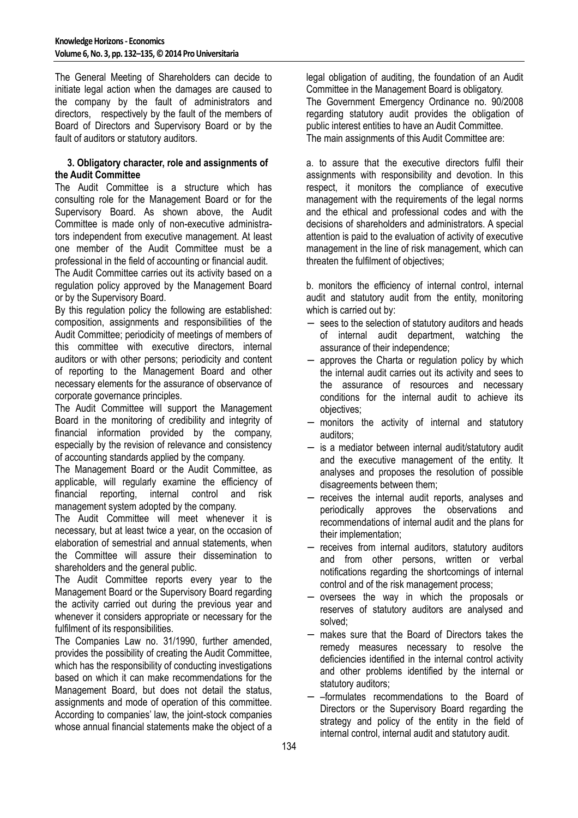The General Meeting of Shareholders can decide to initiate legal action when the damages are caused to the company by the fault of administrators and directors, respectively by the fault of the members of Board of Directors and Supervisory Board or by the fault of auditors or statutory auditors.

## **3. Obligatory character, role and assignments of the Audit Committee**

The Audit Committee is a structure which has consulting role for the Management Board or for the Supervisory Board. As shown above, the Audit Committee is made only of non-executive administrators independent from executive management. At least one member of the Audit Committee must be a professional in the field of accounting or financial audit.

The Audit Committee carries out its activity based on a regulation policy approved by the Management Board or by the Supervisory Board.

By this regulation policy the following are established: composition, assignments and responsibilities of the Audit Committee; periodicity of meetings of members of this committee with executive directors, internal auditors or with other persons; periodicity and content of reporting to the Management Board and other necessary elements for the assurance of observance of corporate governance principles.

The Audit Committee will support the Management Board in the monitoring of credibility and integrity of financial information provided by the company, especially by the revision of relevance and consistency of accounting standards applied by the company.

The Management Board or the Audit Committee, as applicable, will regularly examine the efficiency of financial reporting, internal control and risk management system adopted by the company.

The Audit Committee will meet whenever it is necessary, but at least twice a year, on the occasion of elaboration of semestrial and annual statements, when the Committee will assure their dissemination to shareholders and the general public.

The Audit Committee reports every year to the Management Board or the Supervisory Board regarding the activity carried out during the previous year and whenever it considers appropriate or necessary for the fulfilment of its responsibilities.

The Companies Law no. 31/1990, further amended, provides the possibility of creating the Audit Committee, which has the responsibility of conducting investigations based on which it can make recommendations for the Management Board, but does not detail the status, assignments and mode of operation of this committee. According to companies' law, the joint-stock companies whose annual financial statements make the object of a

legal obligation of auditing, the foundation of an Audit Committee in the Management Board is obligatory. The Government Emergency Ordinance no. 90/2008 regarding statutory audit provides the obligation of public interest entities to have an Audit Committee. The main assignments of this Audit Committee are:

a. to assure that the executive directors fulfil their assignments with responsibility and devotion. In this respect, it monitors the compliance of executive management with the requirements of the legal norms and the ethical and professional codes and with the decisions of shareholders and administrators. A special attention is paid to the evaluation of activity of executive management in the line of risk management, which can threaten the fulfilment of objectives;

b. monitors the efficiency of internal control, internal audit and statutory audit from the entity, monitoring which is carried out by:

- − sees to the selection of statutory auditors and heads of internal audit department, watching the assurance of their independence;
- approves the Charta or regulation policy by which the internal audit carries out its activity and sees to the assurance of resources and necessary conditions for the internal audit to achieve its objectives;
- − monitors the activity of internal and statutory auditors;
- is a mediator between internal audit/statutory audit and the executive management of the entity. It analyses and proposes the resolution of possible disagreements between them;
- − receives the internal audit reports, analyses and periodically approves the observations and recommendations of internal audit and the plans for their implementation;
- − receives from internal auditors, statutory auditors and from other persons, written or verbal notifications regarding the shortcomings of internal control and of the risk management process;
- − oversees the way in which the proposals or reserves of statutory auditors are analysed and solved;
- − makes sure that the Board of Directors takes the remedy measures necessary to resolve the deficiencies identified in the internal control activity and other problems identified by the internal or statutory auditors;
- − –formulates recommendations to the Board of Directors or the Supervisory Board regarding the strategy and policy of the entity in the field of internal control, internal audit and statutory audit.